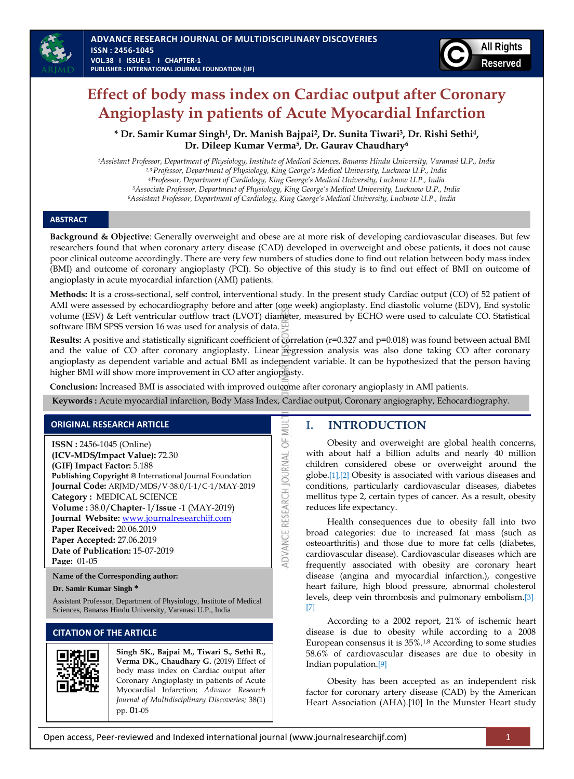

# **Effect of body mass index on Cardiac output after Coronary Angioplasty in patients of Acute Myocardial Infarction**

**\* Dr. Samir Kumar Singh<sup>1</sup> , Dr. Manish Bajpai<sup>2</sup> , Dr. Sunita Tiwari<sup>3</sup> , Dr. Rishi Sethi<sup>4</sup> , Dr. Dileep Kumar Verma<sup>5</sup> , Dr. Gaurav Chaudhary<sup>6</sup>**

*Assistant Professor, Department of Physiology, Institute of Medical Sciences, Banaras Hindu University, Varanasi U.P., India 2,3 Professor, Department of Physiology, King George's Medical University, Lucknow U.P., India Professor, Department of Cardiology, King George's Medical University, Lucknow U.P., India Associate Professor, Department of Physiology, King George's Medical University, Lucknow U.P., India Assistant Professor, Department of Cardiology, King George's Medical University, Lucknow U.P., India*

## **ABSTRACT**

**Background & Objective**: Generally overweight and obese are at more risk of developing cardiovascular diseases. But few researchers found that when coronary artery disease (CAD) developed in overweight and obese patients, it does not cause poor clinical outcome accordingly. There are very few numbers of studies done to find out relation between body mass index (BMI) and outcome of coronary angioplasty (PCI). So objective of this study is to find out effect of BMI on outcome of angioplasty in acute myocardial infarction (AMI) patients.

**Methods:** It is a cross-sectional, self control, interventional study. In the present study Cardiac output (CO) of 52 patient of AMI were assessed by echocardiography before and after (one week) angioplasty. End diastolic volume (EDV), End systolic volume (ESV) & Left ventricular outflow tract (LVOT) diameter, measured by ECHO were used to calculate CO. Statistical software IBM SPSS version 16 was used for analysis of data.

**Results:** A positive and statistically significant coefficient of correlation (r=0.327 and p=0.018) was found between actual BMI and the value of CO after coronary angioplasty. Linear regression analysis was also done taking CO after coronary angioplasty as dependent variable and actual BMI as independent variable. It can be hypothesized that the person having higher BMI will show more improvement in CO after angioplasty.

**Conclusion:** Increased BMI is associated with improved outcome after coronary angioplasty in AMI patients.

 **Keywords :** Acute myocardial infarction, Body Mass Index, Cardiac output, Coronary angiography, Echocardiography.

MUL  $\overline{0}$ 

**ADVANCE RESEARCH JOURNAL** 

# **ORIGINAL RESEARCH ARTICLE**

**ISSN :** 2456-1045 (Online) **(ICV-MDS/Impact Value):** 72.30 **(GIF) Impact Factor:** 5.188 **Publishing Copyright @** International Journal Foundation **Journal Code:** ARJMD/MDS/V-38.0/I-1/C-1/MAY-2019 **Category :** MEDICAL SCIENCE **Volume :** 38.0/**Chapter**- I/**Issue** -1 (MAY-2019) **Journal Website:** [www.journalresearchijf.com](http://www.journalresearchijf.com/) **Paper Received:** 20.06.2019 **Paper Accepted:** 27.06.2019 **Date of Publication:** 15-07-2019 **Page:** 01-05

**Name of the Corresponding author:**

**Dr. Samir Kumar Singh \***

Assistant Professor, Department of Physiology, Institute of Medical Sciences, Banaras Hindu University, Varanasi U.P., India

# **CITATION OF THE ARTICLE**



**Singh SK., Bajpai M., Tiwari S., Sethi R., Verma DK., Chaudhary G.** (2019) Effect of body mass index on Cardiac output after Coronary Angioplasty in patients of Acute Myocardial Infarction; *Advance Research Journal of Multidisciplinary Discoveries;* 38(1) pp. 01-05

# **I. INTRODUCTION**

Obesity and overweight are global health concerns, with about half a billion adults and nearly 40 million children considered obese or overweight around the globe.[\[1\],](#page-3-0)[\[2\]](#page-3-1) Obesity is associated with various diseases and conditions, particularly cardiovascular diseases, diabetes mellitus type 2, certain types of cancer. As a result, obesity reduces life expectancy.

Health consequences due to obesity fall into two broad categories: due to increased fat mass (such as osteoarthritis) and those due to more fat cells (diabetes, cardiovascular disease). Cardiovascular diseases which are frequently associated with obesity are coronary heart disease (angina and myocardial infarction.), congestive heart failure, high blood pressure, abnormal cholesterol levels, deep vein thrombosis and pulmonary embolism.[\[3\]-](#page-3-2) [\[7\]](#page-3-3)

According to a 2002 report, 21% of ischemic heart disease is due to obesity while according to a 2008 European consensus it is 35%.1,8 According to some studies 58.6% of cardiovascular diseases are due to obesity in Indian population.[\[9\]](#page-3-4)

Obesity has been accepted as an independent risk factor for coronary artery disease (CAD) by the American Heart Association (AHA)[.\[10\]](#page-3-5) In the Munster Heart study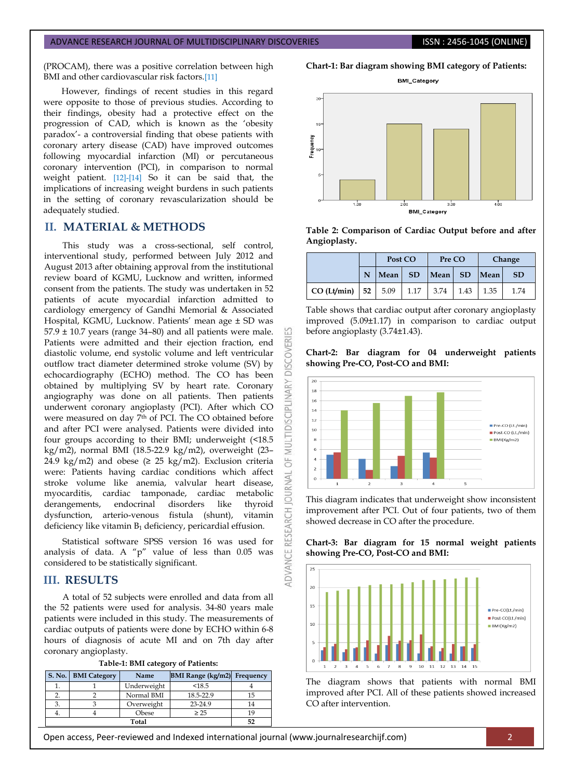#### ADVANCE RESEARCH JOURNAL OF MULTIDISCIPLINARY DISCOVERIES **ISSN : 2456-1045 (ONLINE)**

(PROCAM), there was a positive correlation between high BMI and other cardiovascular risk factors.[\[11\]](#page-3-6)

However, findings of recent studies in this regard were opposite to those of previous studies. According to their findings, obesity had a protective effect on the progression of CAD, which is known as the "obesity paradox"- a controversial finding that obese patients with coronary artery disease (CAD) have improved outcomes following myocardial infarction (MI) or percutaneous coronary intervention (PCI), in comparison to normal weight patient. [\[12\]](#page-3-7)[-\[14\]](#page-3-8) So it can be said that, the implications of increasing weight burdens in such patients in the setting of coronary revascularization should be adequately studied.

## **II. MATERIAL & METHODS**

This study was a cross-sectional, self control, interventional study, performed between July 2012 and August 2013 after obtaining approval from the institutional review board of KGMU, Lucknow and written, informed consent from the patients. The study was undertaken in 52 patients of acute myocardial infarction admitted to cardiology emergency of Gandhi Memorial & Associated Hospital, KGMU, Lucknow. Patients' mean age ± SD was  $57.9 \pm 10.7$  years (range 34–80) and all patients were male. Patients were admitted and their ejection fraction, end diastolic volume, end systolic volume and left ventricular outflow tract diameter determined stroke volume (SV) by echocardiography (ECHO) method. The CO has been obtained by multiplying SV by heart rate. Coronary angiography was done on all patients. Then patients underwent coronary angioplasty (PCI). After which CO were measured on day 7th of PCI. The CO obtained before and after PCI were analysed. Patients were divided into four groups according to their BMI; underweight (<18.5 kg/m2), normal BMI (18.5-22.9 kg/m2), overweight (23– 24.9 kg/m2) and obese ( $\geq$  25 kg/m2). Exclusion criteria were: Patients having cardiac conditions which affect stroke volume like anemia, valvular heart disease, myocarditis, cardiac tamponade, cardiac metabolic derangements, endocrinal disorders like thyroid dysfunction, arterio-venous fistula (shunt), vitamin deficiency like vitamin B<sub>1</sub> deficiency, pericardial effusion.

**DISCOVER** 

**ISCIPLINARY** 

₹ ö  $\overline{A}$ RN  $\overline{\circ}$ 

RESEARCH

ADVANCE

Statistical software SPSS version 16 was used for analysis of data. A "p" value of less than 0.05 was considered to be statistically significant.

# **III. RESULTS**

A total of 52 subjects were enrolled and data from all the 52 patients were used for analysis. 34-80 years male patients were included in this study. The measurements of cardiac outputs of patients were done by ECHO within 6-8 hours of diagnosis of acute MI and on 7th day after coronary angioplasty.

|    | S. No.   BMI Category | Name        | BMI Range (kg/m2) Frequency |    |
|----|-----------------------|-------------|-----------------------------|----|
|    |                       | Underweight | < 18.5                      |    |
|    |                       | Normal BMI  | 18.5-22.9                   | 15 |
| 3. |                       | Overweight  | 23-24.9                     | 14 |
| x. |                       | Obese       | $\geq 25$                   | 19 |
|    | 52                    |             |                             |    |



**Chart-1: Bar diagram showing BMI category of Patients:**

**Table 2: Comparison of Cardiac Output before and after Angioplasty.**

|                  |   | Post CO |           | Pre CO |                             | <b>Change</b> |           |
|------------------|---|---------|-----------|--------|-----------------------------|---------------|-----------|
|                  | N | Mean    | <b>SD</b> | Mean   | $\overline{\phantom{a}}$ SD | Mean          | <b>SD</b> |
| $CO (Lt/min)$ 52 |   | 5.09    | 1.17      | 3.74   | 1.43                        | 1.35          | 1.74      |

Table shows that cardiac output after coronary angioplasty improved (5.09±1.17) in comparison to cardiac output before angioplasty (3.74±1.43).

### **Chart-2: Bar diagram for 04 underweight patients showing Pre-CO, Post-CO and BMI:**



This diagram indicates that underweight show inconsistent improvement after PCI. Out of four patients, two of them showed decrease in CO after the procedure.

#### **Chart-3: Bar diagram for 15 normal weight patients showing Pre-CO, Post-CO and BMI:**



The diagram shows that patients with normal BMI improved after PCI. All of these patients showed increased CO after intervention.

Open access, Peer-reviewed and Indexed international journal (www.journalresearchijf.com) 2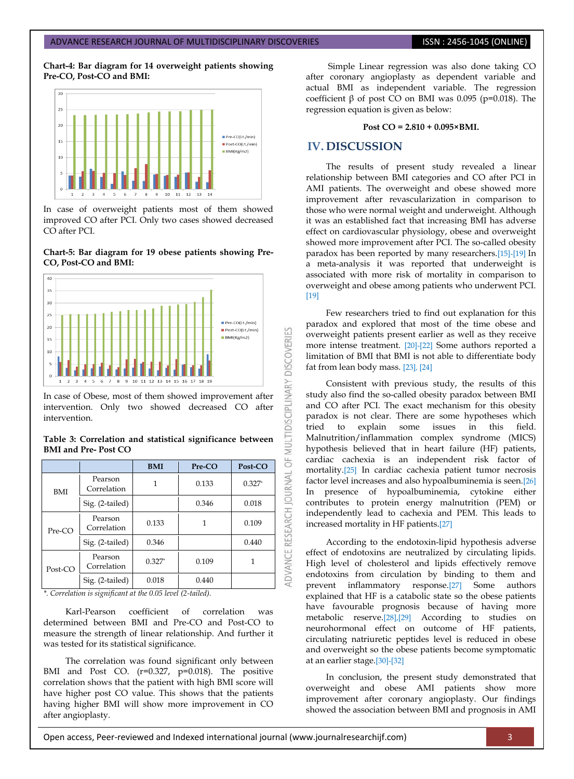**Chart-4: Bar diagram for 14 overweight patients showing Pre-CO, Post-CO and BMI:**



In case of overweight patients most of them showed improved CO after PCI. Only two cases showed decreased CO after PCI.

**Chart-5: Bar diagram for 19 obese patients showing Pre-CO, Post-CO and BMI:**



In case of Obese, most of them showed improvement after intervention. Only two showed decreased CO after intervention.

**Table 3: Correlation and statistical significance between BMI and Pre- Post CO**

|          |                        | <b>BMI</b> | Pre-CO | Post-CO  |
|----------|------------------------|------------|--------|----------|
| BMI      | Pearson<br>Correlation |            | 0.133  | $0.327*$ |
|          | Sig. (2-tailed)        |            | 0.346  | 0.018    |
| $Pre-CO$ | Pearson<br>Correlation | 0.133      | 1      | 0.109    |
|          | Sig. (2-tailed)        | 0.346      |        | 0.440    |
| Post-CO  | Pearson<br>Correlation | $0.327*$   | 0.109  |          |
|          | Sig. (2-tailed)        | 0.018      | 0.440  |          |

*\*. Correlation is significant at the 0.05 level (2-tailed).*

Karl-Pearson coefficient of correlation was determined between BMI and Pre-CO and Post-CO to measure the strength of linear relationship. And further it was tested for its statistical significance.

The correlation was found significant only between BMI and Post CO. (r=0.327, p=0.018). The positive correlation shows that the patient with high BMI score will have higher post CO value. This shows that the patients having higher BMI will show more improvement in CO after angioplasty.

Simple Linear regression was also done taking CO after coronary angioplasty as dependent variable and actual BMI as independent variable. The regression coefficient β of post CO on BMI was 0.095 (p=0.018). The regression equation is given as below:

#### **Post CO = 2.810 + 0.095×BMI.**

## **IV. DISCUSSION**

53

**DISCOVERI** 

MULTIDISCIPLINARY

OF<sub>1</sub>

DVANCE RESEARCH JOURNAL

The results of present study revealed a linear relationship between BMI categories and CO after PCI in AMI patients. The overweight and obese showed more improvement after revascularization in comparison to those who were normal weight and underweight. Although it was an established fact that increasing BMI has adverse effect on cardiovascular physiology, obese and overweight showed more improvement after PCI. The so-called obesity paradox has been reported by many researchers.[\[15\]](#page-3-9)[-\[19\]](#page-3-10) In a meta-analysis it was reported that underweight is associated with more risk of mortality in comparison to overweight and obese among patients who underwent PCI. [\[19\]](#page-3-10)

Few researchers tried to find out explanation for this paradox and explored that most of the time obese and overweight patients present earlier as well as they receive more intense treatment. [\[20\]-](#page-4-0)[\[22\]](#page-4-1) Some authors reported a limitation of BMI that BMI is not able to differentiate body fat from lean body mass. [\[23\]](#page-4-2), [\[24\]](#page-4-3)

Consistent with previous study, the results of this study also find the so-called obesity paradox between BMI and CO after PCI. The exact mechanism for this obesity paradox is not clear. There are some hypotheses which tried to explain some issues in this field. Malnutrition/inflammation complex syndrome (MICS) hypothesis believed that in heart failure (HF) patients, cardiac cachexia is an independent risk factor of mortality.[\[25\]](#page-4-4) In cardiac cachexia patient tumor necrosis factor level increases and also hypoalbuminemia is seen.[\[26\]](#page-4-5) In presence of hypoalbuminemia, cytokine either contributes to protein energy malnutrition (PEM) or independently lead to cachexia and PEM. This leads to increased mortality in HF patients.[\[27\]](#page-4-6)

According to the endotoxin-lipid hypothesis adverse effect of endotoxins are neutralized by circulating lipids. High level of cholesterol and lipids effectively remove endotoxins from circulation by binding to them and prevent inflammatory response.[\[27\]](#page-4-6) Some authors explained that HF is a catabolic state so the obese patients have favourable prognosis because of having more metabolic reserve.[\[28\]](#page-4-7)[,\[29\]](#page-4-8) According to studies on neurohormonal effect on outcome of HF patients, circulating natriuretic peptides level is reduced in obese and overweight so the obese patients become symptomatic at an earlier stage.[\[30\]](#page-4-9)[-\[32\]](#page-4-10)

In conclusion, the present study demonstrated that overweight and obese AMI patients show more improvement after coronary angioplasty. Our findings showed the association between BMI and prognosis in AMI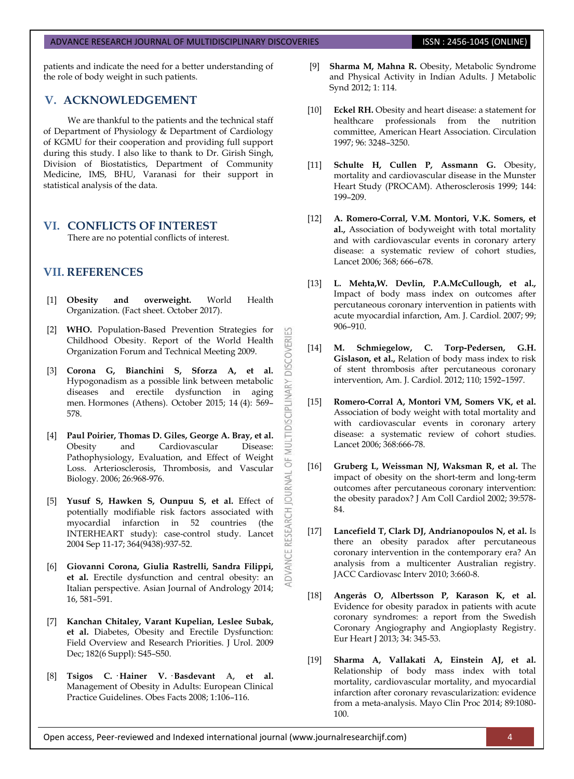#### ADVANCE RESEARCH JOURNAL OF MULTIDISCIPLINARY DISCOVERIES **ISSN : 2456-1045 (ONLINE)**

patients and indicate the need for a better understanding of the role of body weight in such patients.

# **V. ACKNOWLEDGEMENT**

 We are thankful to the patients and the technical staff of Department of Physiology & Department of Cardiology of KGMU for their cooperation and providing full support during this study. I also like to thank to Dr. Girish Singh, Division of Biostatistics, Department of Community Medicine, IMS, BHU, Varanasi for their support in statistical analysis of the data.

# **VI. CONFLICTS OF INTEREST**

There are no potential conflicts of interest.

## **VII. REFERENCES**

- <span id="page-3-0"></span>[1] **Obesity and overweight.** World Health Organization. (Fact sheet. October 2017).
- <span id="page-3-1"></span>[2] **WHO.** Population-Based Prevention Strategies for Childhood Obesity. Report of the World Health Organization Forum and Technical Meeting 2009.

**DISCOVERI** 

MULTIDISCIPLINARY

5F

**JOURNAL** 

RESEARCH

ADVANCE

- <span id="page-3-2"></span>[3] **Corona G, Bianchini S, Sforza A, et al.** Hypogonadism as a possible link between metabolic diseases and erectile dysfunction in aging men. Hormones (Athens). October 2015; 14 (4): 569– 578.
- [4] **Paul Poirier, Thomas D. Giles, George A. Bray, et al.** and Cardiovascular Pathophysiology, Evaluation, and Effect of Weight Loss. Arteriosclerosis, Thrombosis, and Vascular Biology. 2006; 26:968-976.
- [5] **Yusuf S, Hawken S, Ounpuu S, et al.** Effect of potentially modifiable risk factors associated with myocardial infarction in 52 countries (the INTERHEART study): case-control study. Lancet 2004 Sep 11-17; 364(9438):937-52.
- [6] **Giovanni Corona, Giulia Rastrelli, Sandra Filippi, et al.** Erectile dysfunction and central obesity: an Italian perspective. Asian Journal of Andrology 2014; 16, 581–591.
- <span id="page-3-3"></span>[7] **Kanchan Chitaley, Varant Kupelian, Leslee Subak, et al.** Diabetes, Obesity and Erectile Dysfunction: Field Overview and Research Priorities. [J Urol. 2009](https://www.ncbi.nlm.nih.gov/entrez/eutils/elink.fcgi?dbfrom=pubmed&retmode=ref&cmd=prlinks&id=19846136)  [Dec; 182\(6 Suppl\): S45](https://www.ncbi.nlm.nih.gov/entrez/eutils/elink.fcgi?dbfrom=pubmed&retmode=ref&cmd=prlinks&id=19846136)–S50.
- [8] **Tsigos C. · Hainer V. · Basdevant A, et al.** Management of Obesity in Adults: European Clinical Practice Guidelines. Obes Facts 2008; 1:106–116.
- <span id="page-3-4"></span>[9] **Sharma M, Mahna R.** Obesity, Metabolic Syndrome and Physical Activity in Indian Adults. J Metabolic Synd 2012; 1: 114.
- <span id="page-3-5"></span>[10] **Eckel RH.** Obesity and heart disease: a statement for healthcare professionals from the nutrition committee, American Heart Association. Circulation 1997; 96: 3248–3250.
- <span id="page-3-6"></span>[11] **Schulte H, Cullen P, Assmann G.** Obesity, mortality and cardiovascular disease in the Munster Heart Study (PROCAM). Atherosclerosis 1999; 144: 199–209.
- <span id="page-3-7"></span>[12] **A. Romero-Corral, V.M. Montori, V.K. Somers, et al.,** Association of bodyweight with total mortality and with cardiovascular events in coronary artery disease: a systematic review of cohort studies, Lancet 2006; 368; 666–678.
- [13] **L. Mehta,W. Devlin, P.A.McCullough, et al.,** Impact of body mass index on outcomes after percutaneous coronary intervention in patients with acute myocardial infarction, Am. J. Cardiol. 2007; 99; 906–910.
- <span id="page-3-8"></span>[14] **M. Schmiegelow, C. Torp-Pedersen, G.H. Gislason, et al.,** Relation of body mass index to risk of stent thrombosis after percutaneous coronary intervention, Am. J. Cardiol. 2012; 110; 1592–1597.
- <span id="page-3-9"></span>[15] **Romero-Corral A, Montori VM, Somers VK, et al.** Association of body weight with total mortality and with cardiovascular events in coronary artery disease: a systematic review of cohort studies. Lancet 2006; 368:666-78.
- [16] **Gruberg L, Weissman NJ, Waksman R, et al.** The impact of obesity on the short-term and long-term outcomes after percutaneous coronary intervention: the obesity paradox? J Am Coll Cardiol 2002; 39:578- 84.
- [17] **Lancefield T, Clark DJ, Andrianopoulos N, et al.** Is there an obesity paradox after percutaneous coronary intervention in the contemporary era? An analysis from a multicenter Australian registry. JACC Cardiovasc Interv 2010; 3:660-8.
- [18] **Angerås O, Albertsson P, Karason K, et al.** Evidence for obesity paradox in patients with acute coronary syndromes: a report from the Swedish Coronary Angiography and Angioplasty Registry. Eur Heart J 2013; 34: 345-53.
- <span id="page-3-10"></span>[19] **Sharma A, Vallakati A, Einstein AJ, et al.** Relationship of body mass index with total mortality, cardiovascular mortality, and myocardial infarction after coronary revascularization: evidence from a meta-analysis. Mayo Clin Proc 2014; 89:1080- 100.